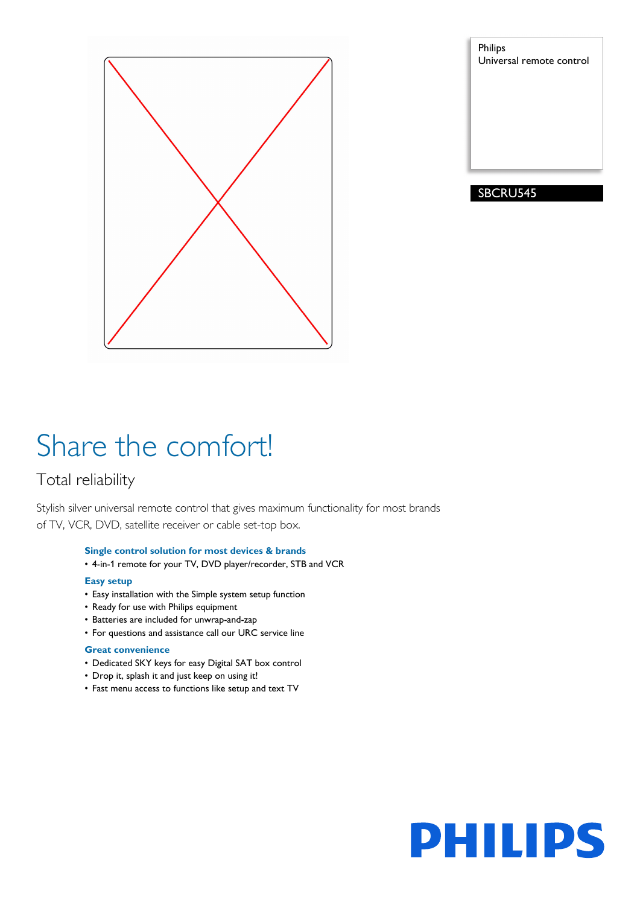

Philips Universal remote control

## SBCRU545

# Share the comfort!

## Total reliability

Stylish silver universal remote control that gives maximum functionality for most brands of TV, VCR, DVD, satellite receiver or cable set-top box.

## **Single control solution for most devices & brands**

• 4-in-1 remote for your TV, DVD player/recorder, STB and VCR

## **Easy setup**

- Easy installation with the Simple system setup function
- Ready for use with Philips equipment
- Batteries are included for unwrap-and-zap
- For questions and assistance call our URC service line

## **Great convenience**

- Dedicated SKY keys for easy Digital SAT box control
- Drop it, splash it and just keep on using it!
- Fast menu access to functions like setup and text TV